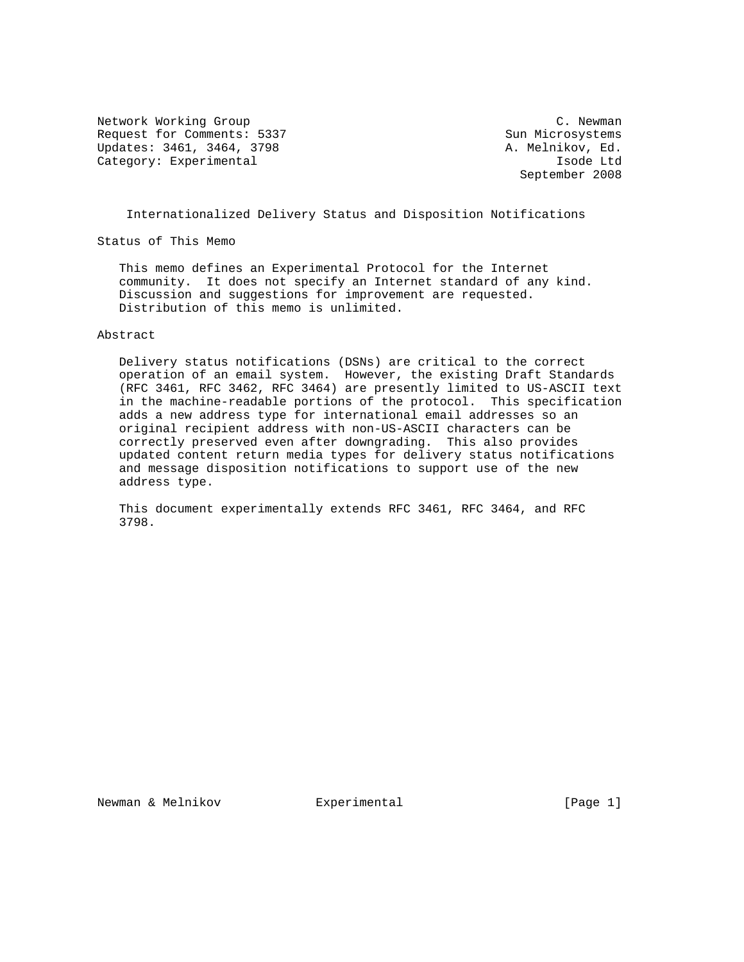Network Working Group C. Newman C. Newman Request for Comments: 5337 Sun Microsystems Updates: 3461, 3464, 3798 <br>
A. Melnikov, Ed. Category: Experimental isode Ltd

September 2008

## Internationalized Delivery Status and Disposition Notifications

Status of This Memo

 This memo defines an Experimental Protocol for the Internet community. It does not specify an Internet standard of any kind. Discussion and suggestions for improvement are requested. Distribution of this memo is unlimited.

# Abstract

 Delivery status notifications (DSNs) are critical to the correct operation of an email system. However, the existing Draft Standards (RFC 3461, RFC 3462, RFC 3464) are presently limited to US-ASCII text in the machine-readable portions of the protocol. This specification adds a new address type for international email addresses so an original recipient address with non-US-ASCII characters can be correctly preserved even after downgrading. This also provides updated content return media types for delivery status notifications and message disposition notifications to support use of the new address type.

 This document experimentally extends RFC 3461, RFC 3464, and RFC 3798.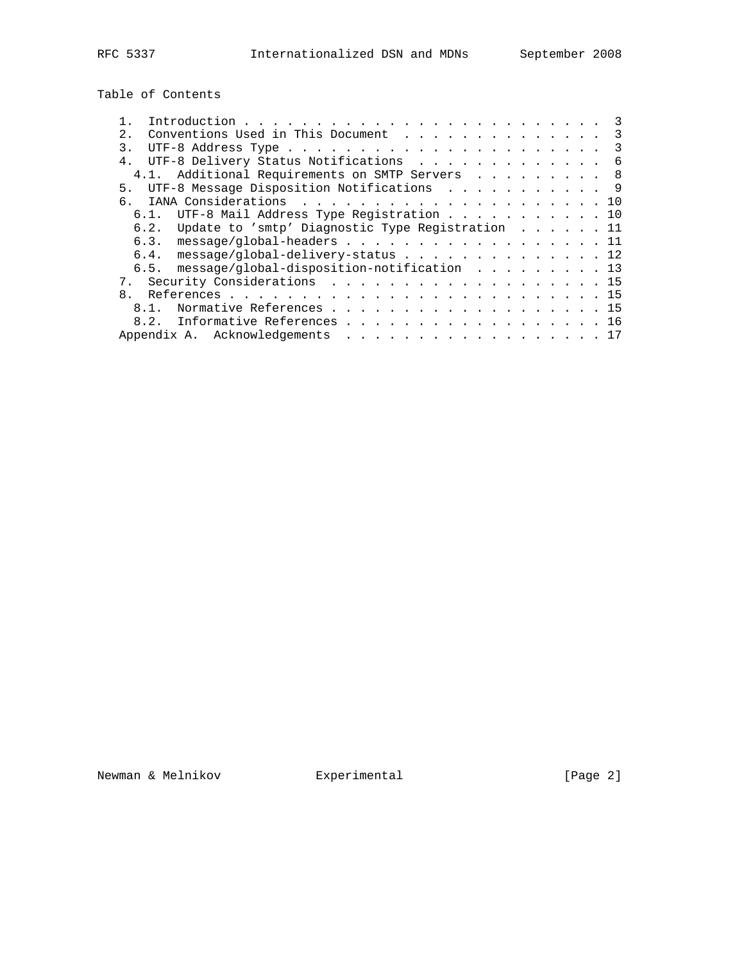Table of Contents

| Conventions Used in This Document 3<br>2.1              |  |  |  |  |
|---------------------------------------------------------|--|--|--|--|
| 3.                                                      |  |  |  |  |
| UTF-8 Delivery Status Notifications 6<br>4 <sub>1</sub> |  |  |  |  |
| 4.1. Additional Requirements on SMTP Servers 8          |  |  |  |  |
| 5. UTF-8 Message Disposition Notifications 9            |  |  |  |  |
|                                                         |  |  |  |  |
| UTF-8 Mail Address Type Registration 10<br>$6.1$ .      |  |  |  |  |
| 6.2. Update to 'smtp' Diagnostic Type Registration 11   |  |  |  |  |
| 6.3. message/global-headers 11                          |  |  |  |  |
| 6.4. message/global-delivery-status 12                  |  |  |  |  |
| 6.5. message/global-disposition-notification 13         |  |  |  |  |
| 7. Security Considerations 15                           |  |  |  |  |
|                                                         |  |  |  |  |
| 8.1. Normative References 15                            |  |  |  |  |
| 8.2. Informative References 16                          |  |  |  |  |
| Appendix A. Acknowledgements 17                         |  |  |  |  |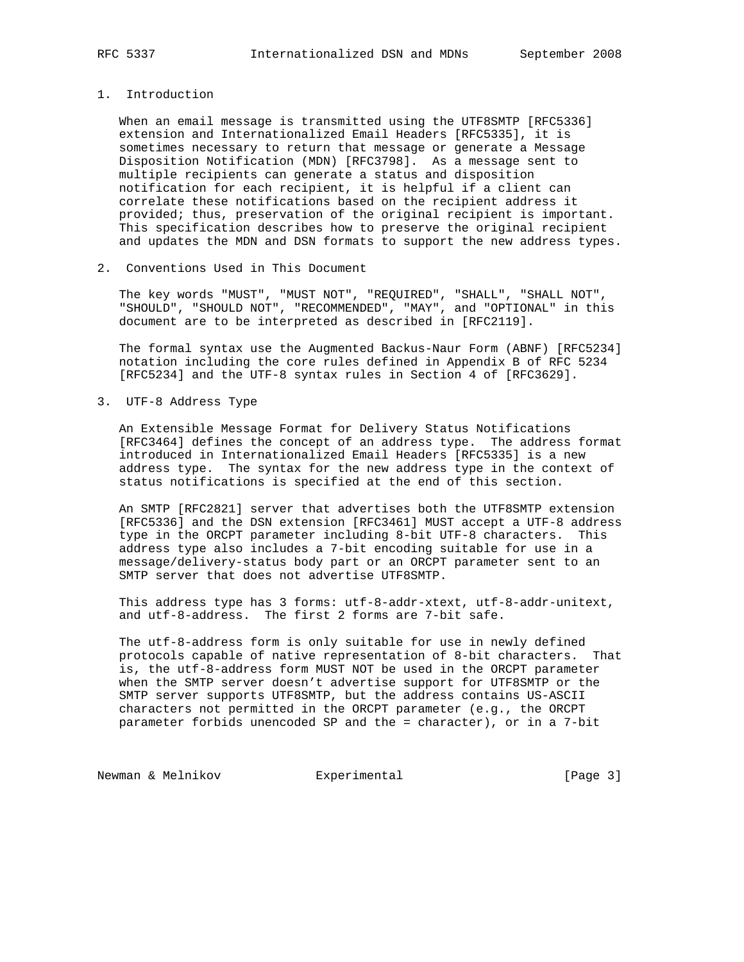## 1. Introduction

 When an email message is transmitted using the UTF8SMTP [RFC5336] extension and Internationalized Email Headers [RFC5335], it is sometimes necessary to return that message or generate a Message Disposition Notification (MDN) [RFC3798]. As a message sent to multiple recipients can generate a status and disposition notification for each recipient, it is helpful if a client can correlate these notifications based on the recipient address it provided; thus, preservation of the original recipient is important. This specification describes how to preserve the original recipient and updates the MDN and DSN formats to support the new address types.

2. Conventions Used in This Document

 The key words "MUST", "MUST NOT", "REQUIRED", "SHALL", "SHALL NOT", "SHOULD", "SHOULD NOT", "RECOMMENDED", "MAY", and "OPTIONAL" in this document are to be interpreted as described in [RFC2119].

 The formal syntax use the Augmented Backus-Naur Form (ABNF) [RFC5234] notation including the core rules defined in Appendix B of RFC 5234 [RFC5234] and the UTF-8 syntax rules in Section 4 of [RFC3629].

3. UTF-8 Address Type

 An Extensible Message Format for Delivery Status Notifications [RFC3464] defines the concept of an address type. The address format introduced in Internationalized Email Headers [RFC5335] is a new address type. The syntax for the new address type in the context of status notifications is specified at the end of this section.

 An SMTP [RFC2821] server that advertises both the UTF8SMTP extension [RFC5336] and the DSN extension [RFC3461] MUST accept a UTF-8 address type in the ORCPT parameter including 8-bit UTF-8 characters. This address type also includes a 7-bit encoding suitable for use in a message/delivery-status body part or an ORCPT parameter sent to an SMTP server that does not advertise UTF8SMTP.

 This address type has 3 forms: utf-8-addr-xtext, utf-8-addr-unitext, and utf-8-address. The first 2 forms are 7-bit safe.

 The utf-8-address form is only suitable for use in newly defined protocols capable of native representation of 8-bit characters. That is, the utf-8-address form MUST NOT be used in the ORCPT parameter when the SMTP server doesn't advertise support for UTF8SMTP or the SMTP server supports UTF8SMTP, but the address contains US-ASCII characters not permitted in the ORCPT parameter (e.g., the ORCPT parameter forbids unencoded SP and the = character), or in a 7-bit

Newman & Melnikov **Experimental** (Page 3)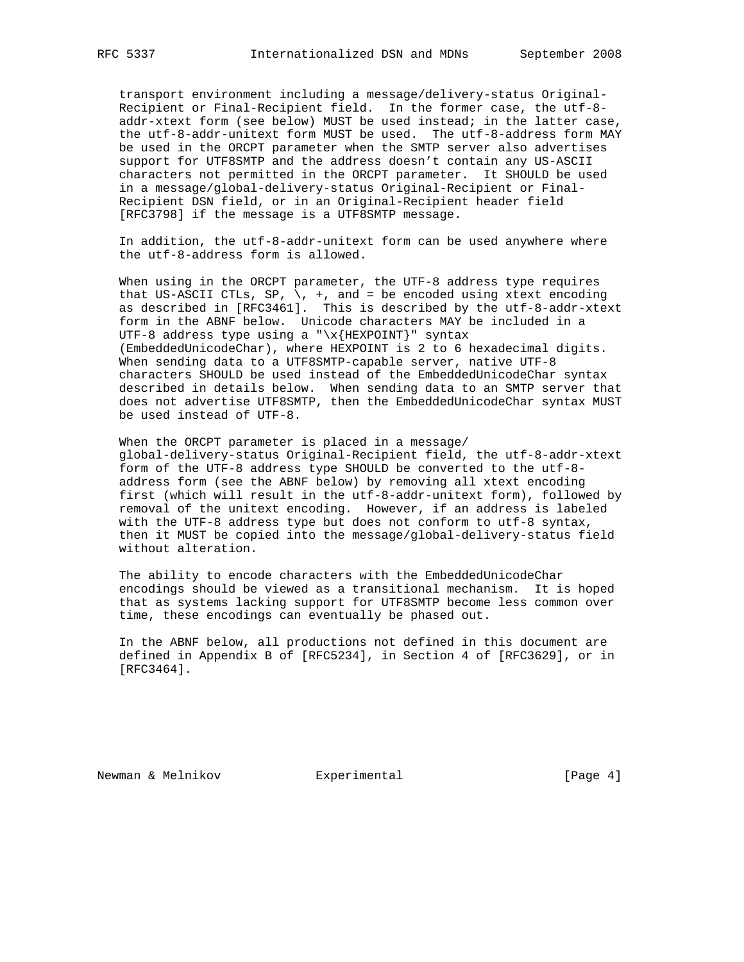transport environment including a message/delivery-status Original- Recipient or Final-Recipient field. In the former case, the utf-8 addr-xtext form (see below) MUST be used instead; in the latter case, the utf-8-addr-unitext form MUST be used. The utf-8-address form MAY be used in the ORCPT parameter when the SMTP server also advertises support for UTF8SMTP and the address doesn't contain any US-ASCII characters not permitted in the ORCPT parameter. It SHOULD be used in a message/global-delivery-status Original-Recipient or Final- Recipient DSN field, or in an Original-Recipient header field [RFC3798] if the message is a UTF8SMTP message.

 In addition, the utf-8-addr-unitext form can be used anywhere where the utf-8-address form is allowed.

 When using in the ORCPT parameter, the UTF-8 address type requires that US-ASCII CTLs, SP,  $\backslash$ , +, and = be encoded using xtext encoding as described in [RFC3461]. This is described by the utf-8-addr-xtext form in the ABNF below. Unicode characters MAY be included in a UTF-8 address type using a "\x{HEXPOINT}" syntax (EmbeddedUnicodeChar), where HEXPOINT is 2 to 6 hexadecimal digits. When sending data to a UTF8SMTP-capable server, native UTF-8 characters SHOULD be used instead of the EmbeddedUnicodeChar syntax described in details below. When sending data to an SMTP server that does not advertise UTF8SMTP, then the EmbeddedUnicodeChar syntax MUST be used instead of UTF-8.

 When the ORCPT parameter is placed in a message/ global-delivery-status Original-Recipient field, the utf-8-addr-xtext form of the UTF-8 address type SHOULD be converted to the utf-8 address form (see the ABNF below) by removing all xtext encoding first (which will result in the utf-8-addr-unitext form), followed by removal of the unitext encoding. However, if an address is labeled with the UTF-8 address type but does not conform to utf-8 syntax, then it MUST be copied into the message/global-delivery-status field without alteration.

 The ability to encode characters with the EmbeddedUnicodeChar encodings should be viewed as a transitional mechanism. It is hoped that as systems lacking support for UTF8SMTP become less common over time, these encodings can eventually be phased out.

 In the ABNF below, all productions not defined in this document are defined in Appendix B of [RFC5234], in Section 4 of [RFC3629], or in [RFC3464].

Newman & Melnikov **Experimental** [Page 4]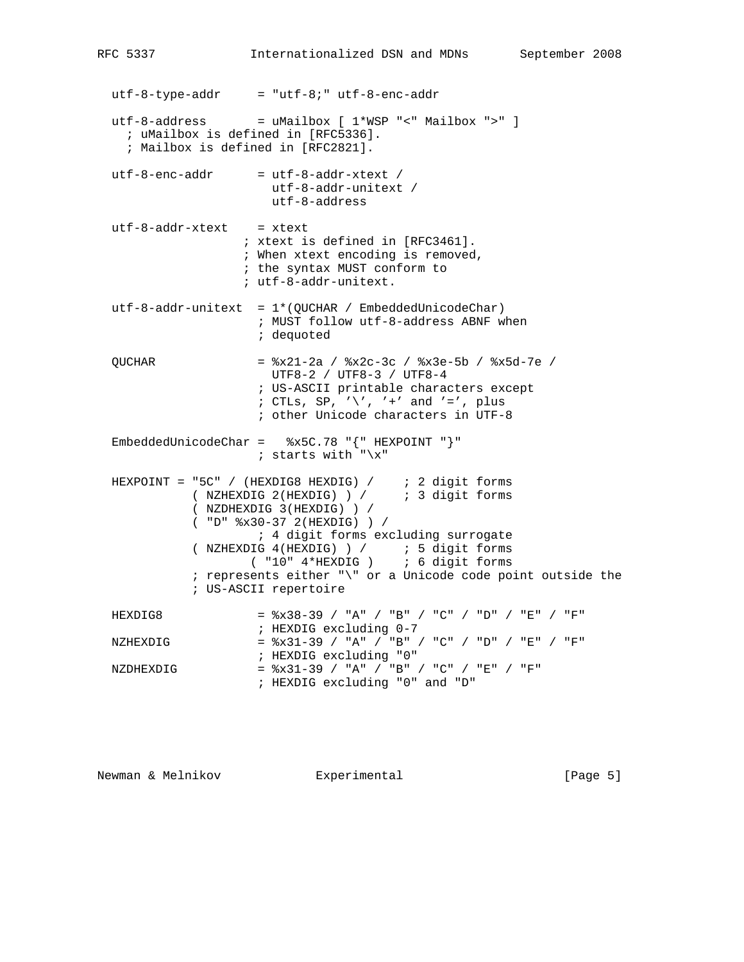$utf-8-type-addr = "utf-8;" utf-8-enc-addr$ utf-8-address = uMailbox  $[1*WSP " < "Mailbox " >" ]$  ; uMailbox is defined in [RFC5336]. ; Mailbox is defined in [RFC2821].  $utf-8-enc-addr$  =  $utf-8-addr-\text{xtext}$  / utf-8-addr-unitext / utf-8-address  $utf-8-addr-xtext = xtext$  ; xtext is defined in [RFC3461]. ; When xtext encoding is removed, ; the syntax MUST conform to ; utf-8-addr-unitext. utf-8-addr-unitext = 1\*(QUCHAR / EmbeddedUnicodeChar) ; MUST follow utf-8-address ABNF when ; dequoted QUCHAR = %x21-2a / %x2c-3c / %x3e-5b / %x5d-7e / UTF8-2 / UTF8-3 / UTF8-4 ; US-ASCII printable characters except ; CTLs, SP,  $\sqrt{\ }$ ,  $\prime +$  and  $\prime =$  , plus ; other Unicode characters in UTF-8 EmbeddedUnicodeChar =  $%x5C.78$  "{" HEXPOINT "}" ; starts with " $\x^"$  HEXPOINT = "5C" / (HEXDIG8 HEXDIG) / ; 2 digit forms ( NZHEXDIG 2(HEXDIG) ) / ; 3 digit forms ( NZDHEXDIG 3(HEXDIG) ) / ( "D" %x30-37 2(HEXDIG) ) / ; 4 digit forms excluding surrogate ( NZHEXDIG 4(HEXDIG) ) / ; 5 digit forms ( "10" 4\*HEXDIG ) ; 6 digit forms ; represents either "\" or a Unicode code point outside the ; US-ASCII repertoire HEXDIG8  $=$   $\frac{2}{3}x38-39$  / "A" / "B" / "D" / "E" / "F"  $\begin{array}{ccc} \texttt{HEXDIG}\end{array}$  =  $\begin{array}{ccc} \texttt{BXDIG}\end{array}$  =  $\begin{array}{ccc} \texttt{BYDIG}\end{array}$   $\begin{array}{ccc} \texttt{BYDIG}\end{array}$  $=$   $x31-39$  / "A" / "B" / "C" / "D" / "E" / "F" % 7 FIEXDIG excluding "0"<br>NZDHEXDIG =  $x31-39$  / "A" / "B"  $=$   $x31-39$  / "A" / "B" / "C" / "E" / "F" ; HEXDIG excluding "0" and "D"

Newman & Melnikov **Experimental** [Page 5]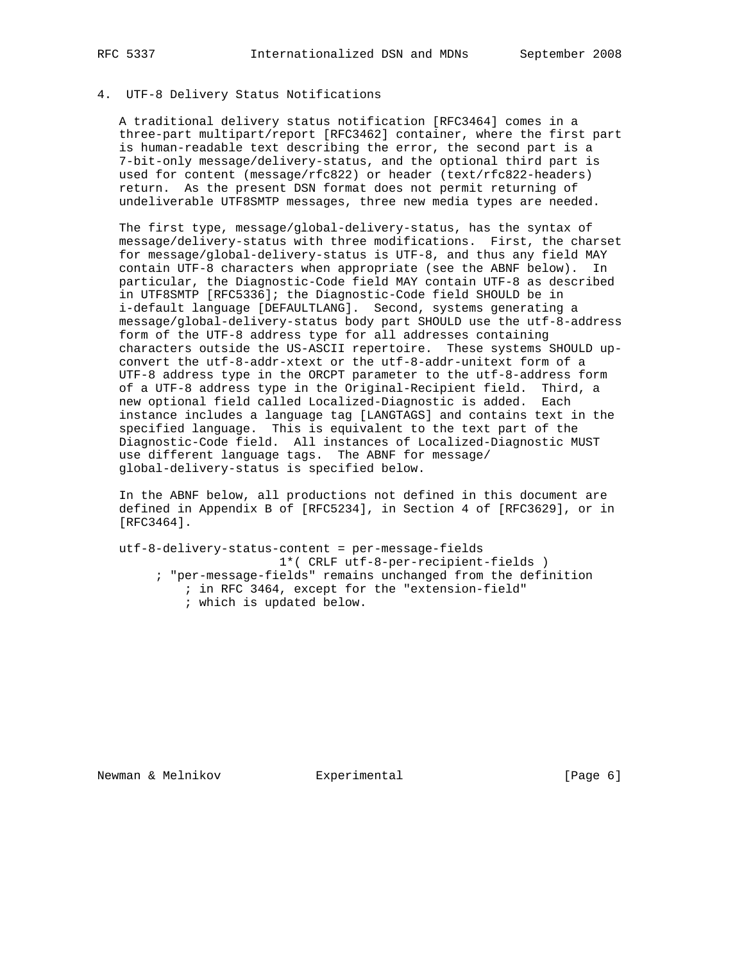# 4. UTF-8 Delivery Status Notifications

 A traditional delivery status notification [RFC3464] comes in a three-part multipart/report [RFC3462] container, where the first part is human-readable text describing the error, the second part is a 7-bit-only message/delivery-status, and the optional third part is used for content (message/rfc822) or header (text/rfc822-headers) return. As the present DSN format does not permit returning of undeliverable UTF8SMTP messages, three new media types are needed.

 The first type, message/global-delivery-status, has the syntax of message/delivery-status with three modifications. First, the charset for message/global-delivery-status is UTF-8, and thus any field MAY contain UTF-8 characters when appropriate (see the ABNF below). In particular, the Diagnostic-Code field MAY contain UTF-8 as described in UTF8SMTP [RFC5336]; the Diagnostic-Code field SHOULD be in i-default language [DEFAULTLANG]. Second, systems generating a message/global-delivery-status body part SHOULD use the utf-8-address form of the UTF-8 address type for all addresses containing characters outside the US-ASCII repertoire. These systems SHOULD up convert the utf-8-addr-xtext or the utf-8-addr-unitext form of a UTF-8 address type in the ORCPT parameter to the utf-8-address form of a UTF-8 address type in the Original-Recipient field. Third, a new optional field called Localized-Diagnostic is added. Each instance includes a language tag [LANGTAGS] and contains text in the specified language. This is equivalent to the text part of the Diagnostic-Code field. All instances of Localized-Diagnostic MUST use different language tags. The ABNF for message/ global-delivery-status is specified below.

 In the ABNF below, all productions not defined in this document are defined in Appendix B of [RFC5234], in Section 4 of [RFC3629], or in [RFC3464].

 utf-8-delivery-status-content = per-message-fields 1\*( CRLF utf-8-per-recipient-fields ) ; "per-message-fields" remains unchanged from the definition ; in RFC 3464, except for the "extension-field" ; which is updated below.

Newman & Melnikov **Experimental** [Page 6]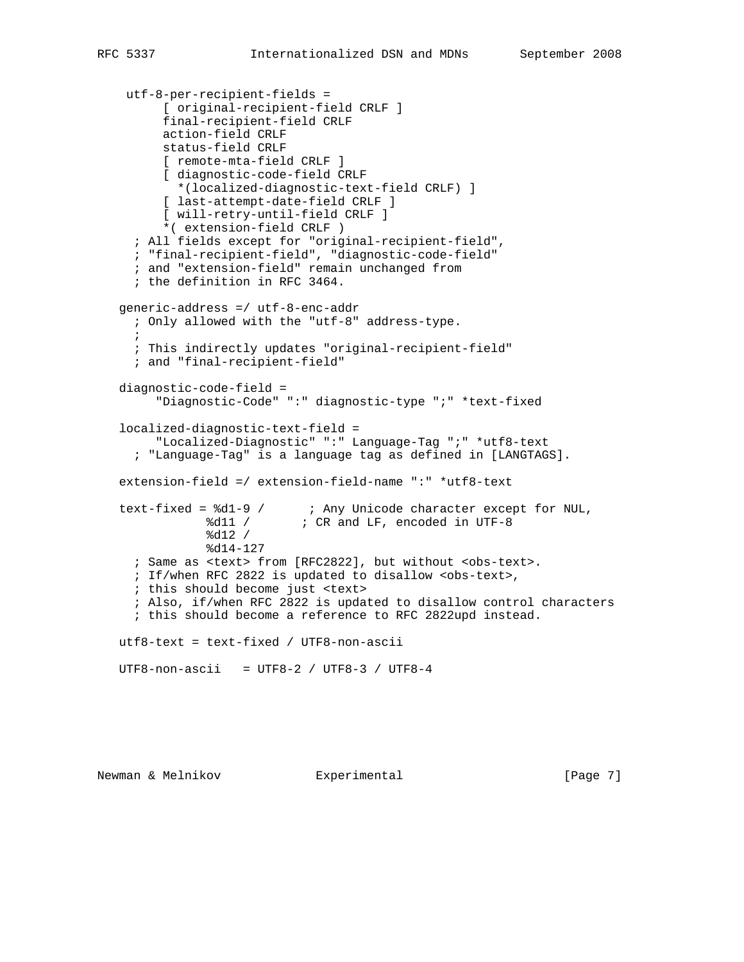```
 utf-8-per-recipient-fields =
          [ original-recipient-field CRLF ]
         final-recipient-field CRLF
         action-field CRLF
         status-field CRLF
         [ remote-mta-field CRLF ]
         [ diagnostic-code-field CRLF
           *(localized-diagnostic-text-field CRLF) ]
          [ last-attempt-date-field CRLF ]
         [ will-retry-until-field CRLF ]
         *( extension-field CRLF )
     ; All fields except for "original-recipient-field",
      ; "final-recipient-field", "diagnostic-code-field"
      ; and "extension-field" remain unchanged from
      ; the definition in RFC 3464.
   generic-address =/ utf-8-enc-addr
     ; Only allowed with the "utf-8" address-type.
\mathbf{i} ; This indirectly updates "original-recipient-field"
      ; and "final-recipient-field"
   diagnostic-code-field =
         "Diagnostic-Code" ":" diagnostic-type ";" *text-fixed
   localized-diagnostic-text-field =
         "Localized-Diagnostic" ":" Language-Tag ";" *utf8-text
      ; "Language-Tag" is a language tag as defined in [LANGTAGS].
   extension-field =/ extension-field-name ":" *utf8-text
 text-fixed = %d1-9 / ; Any Unicode character except for NUL,
%d11 / \qquad ; CR and LF, encoded in UTF-8
 %d12 /
               %d14-127
     ; Same as <text> from [RFC2822], but without <obs-text>.
      ; If/when RFC 2822 is updated to disallow <obs-text>,
      ; this should become just <text>
      ; Also, if/when RFC 2822 is updated to disallow control characters
      ; this should become a reference to RFC 2822upd instead.
   utf8-text = text-fixed / UTF8-non-ascii
   UTF8-non-ascii = UTF8-2 / UTF8-3 / UTF8-4
```
Newman & Melnikov **Experimental** [Page 7]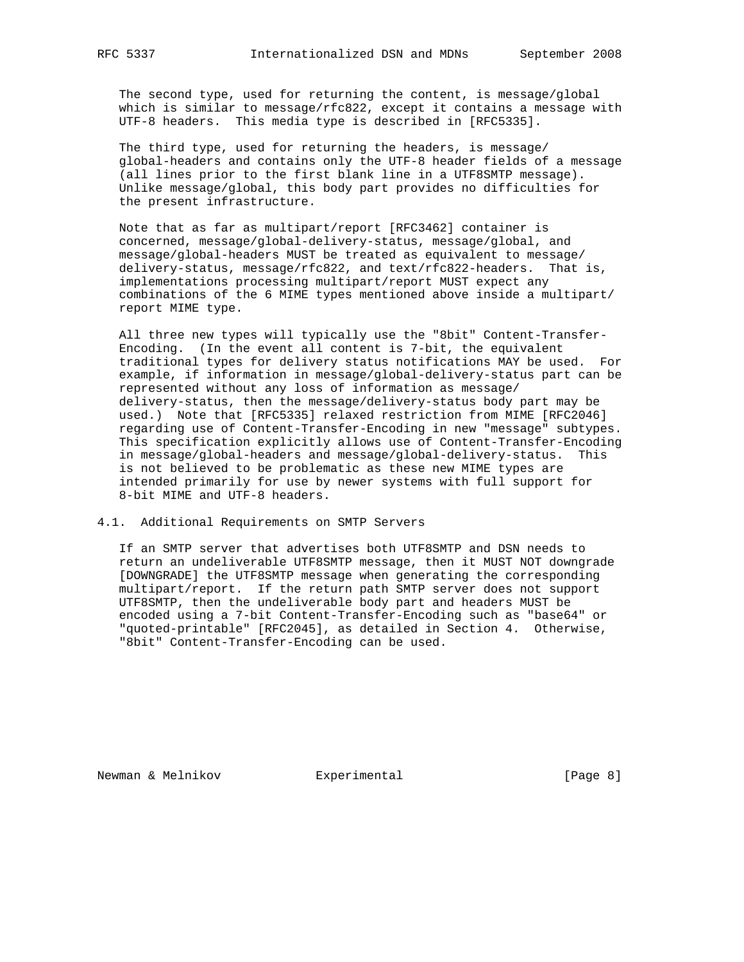The second type, used for returning the content, is message/global which is similar to message/rfc822, except it contains a message with UTF-8 headers. This media type is described in [RFC5335].

 The third type, used for returning the headers, is message/ global-headers and contains only the UTF-8 header fields of a message (all lines prior to the first blank line in a UTF8SMTP message). Unlike message/global, this body part provides no difficulties for the present infrastructure.

 Note that as far as multipart/report [RFC3462] container is concerned, message/global-delivery-status, message/global, and message/global-headers MUST be treated as equivalent to message/ delivery-status, message/rfc822, and text/rfc822-headers. That is, implementations processing multipart/report MUST expect any combinations of the 6 MIME types mentioned above inside a multipart/ report MIME type.

 All three new types will typically use the "8bit" Content-Transfer- Encoding. (In the event all content is 7-bit, the equivalent traditional types for delivery status notifications MAY be used. For example, if information in message/global-delivery-status part can be represented without any loss of information as message/ delivery-status, then the message/delivery-status body part may be used.) Note that [RFC5335] relaxed restriction from MIME [RFC2046] regarding use of Content-Transfer-Encoding in new "message" subtypes. This specification explicitly allows use of Content-Transfer-Encoding in message/global-headers and message/global-delivery-status. This is not believed to be problematic as these new MIME types are intended primarily for use by newer systems with full support for 8-bit MIME and UTF-8 headers.

#### 4.1. Additional Requirements on SMTP Servers

 If an SMTP server that advertises both UTF8SMTP and DSN needs to return an undeliverable UTF8SMTP message, then it MUST NOT downgrade [DOWNGRADE] the UTF8SMTP message when generating the corresponding multipart/report. If the return path SMTP server does not support UTF8SMTP, then the undeliverable body part and headers MUST be encoded using a 7-bit Content-Transfer-Encoding such as "base64" or "quoted-printable" [RFC2045], as detailed in Section 4. Otherwise, "8bit" Content-Transfer-Encoding can be used.

Newman & Melnikov **Experimental** [Page 8]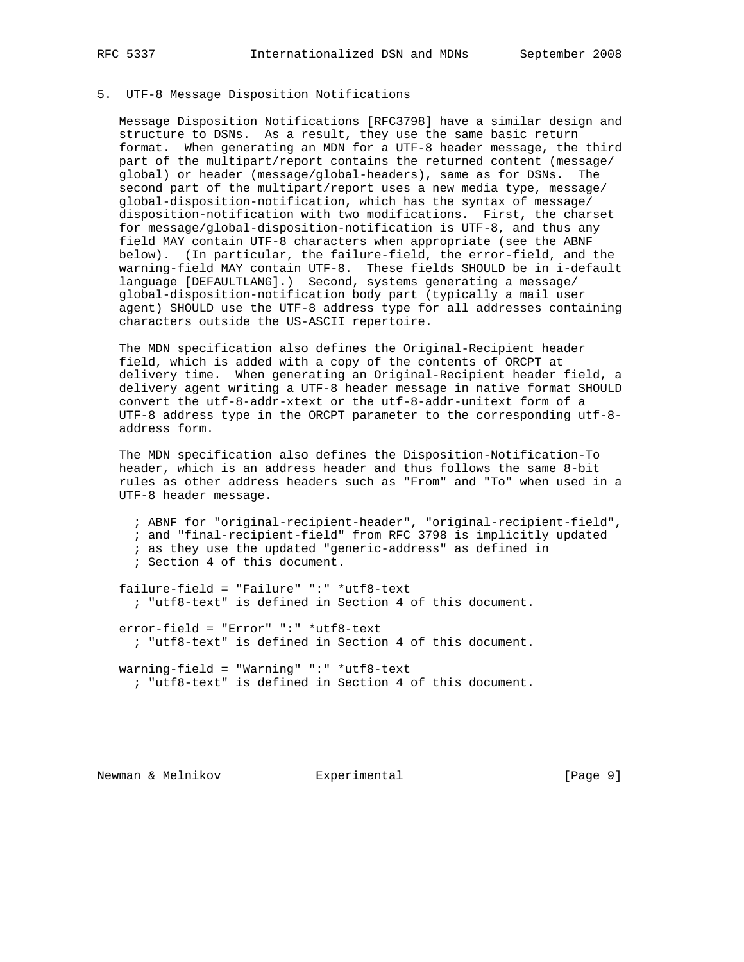### 5. UTF-8 Message Disposition Notifications

 Message Disposition Notifications [RFC3798] have a similar design and structure to DSNs. As a result, they use the same basic return format. When generating an MDN for a UTF-8 header message, the third part of the multipart/report contains the returned content (message/ global) or header (message/global-headers), same as for DSNs. The second part of the multipart/report uses a new media type, message/ global-disposition-notification, which has the syntax of message/ disposition-notification with two modifications. First, the charset for message/global-disposition-notification is UTF-8, and thus any field MAY contain UTF-8 characters when appropriate (see the ABNF below). (In particular, the failure-field, the error-field, and the warning-field MAY contain UTF-8. These fields SHOULD be in i-default language [DEFAULTLANG].) Second, systems generating a message/ global-disposition-notification body part (typically a mail user agent) SHOULD use the UTF-8 address type for all addresses containing characters outside the US-ASCII repertoire.

 The MDN specification also defines the Original-Recipient header field, which is added with a copy of the contents of ORCPT at delivery time. When generating an Original-Recipient header field, a delivery agent writing a UTF-8 header message in native format SHOULD convert the utf-8-addr-xtext or the utf-8-addr-unitext form of a UTF-8 address type in the ORCPT parameter to the corresponding utf-8 address form.

 The MDN specification also defines the Disposition-Notification-To header, which is an address header and thus follows the same 8-bit rules as other address headers such as "From" and "To" when used in a UTF-8 header message.

 ; ABNF for "original-recipient-header", "original-recipient-field", ; and "final-recipient-field" from RFC 3798 is implicitly updated ; as they use the updated "generic-address" as defined in ; Section 4 of this document.

 failure-field = "Failure" ":" \*utf8-text ; "utf8-text" is defined in Section 4 of this document.

 error-field = "Error" ":" \*utf8-text ; "utf8-text" is defined in Section 4 of this document.

 warning-field = "Warning" ":" \*utf8-text ; "utf8-text" is defined in Section 4 of this document.

Newman & Melnikov **Experimental** (Page 9)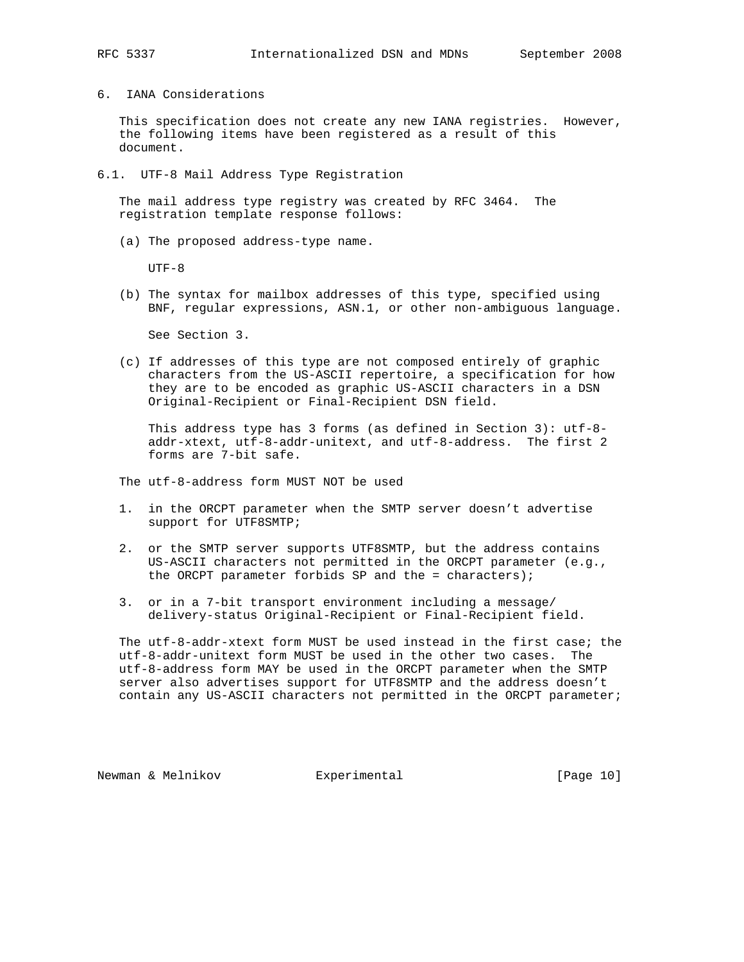6. IANA Considerations

 This specification does not create any new IANA registries. However, the following items have been registered as a result of this document.

6.1. UTF-8 Mail Address Type Registration

 The mail address type registry was created by RFC 3464. The registration template response follows:

(a) The proposed address-type name.

UTF-8

 (b) The syntax for mailbox addresses of this type, specified using BNF, regular expressions, ASN.1, or other non-ambiguous language.

See Section 3.

 (c) If addresses of this type are not composed entirely of graphic characters from the US-ASCII repertoire, a specification for how they are to be encoded as graphic US-ASCII characters in a DSN Original-Recipient or Final-Recipient DSN field.

 This address type has 3 forms (as defined in Section 3): utf-8 addr-xtext, utf-8-addr-unitext, and utf-8-address. The first 2 forms are 7-bit safe.

The utf-8-address form MUST NOT be used

- 1. in the ORCPT parameter when the SMTP server doesn't advertise support for UTF8SMTP;
- 2. or the SMTP server supports UTF8SMTP, but the address contains US-ASCII characters not permitted in the ORCPT parameter (e.g., the ORCPT parameter forbids SP and the = characters);
- 3. or in a 7-bit transport environment including a message/ delivery-status Original-Recipient or Final-Recipient field.

 The utf-8-addr-xtext form MUST be used instead in the first case; the utf-8-addr-unitext form MUST be used in the other two cases. The utf-8-address form MAY be used in the ORCPT parameter when the SMTP server also advertises support for UTF8SMTP and the address doesn't contain any US-ASCII characters not permitted in the ORCPT parameter;

Newman & Melnikov **Experimental** [Page 10]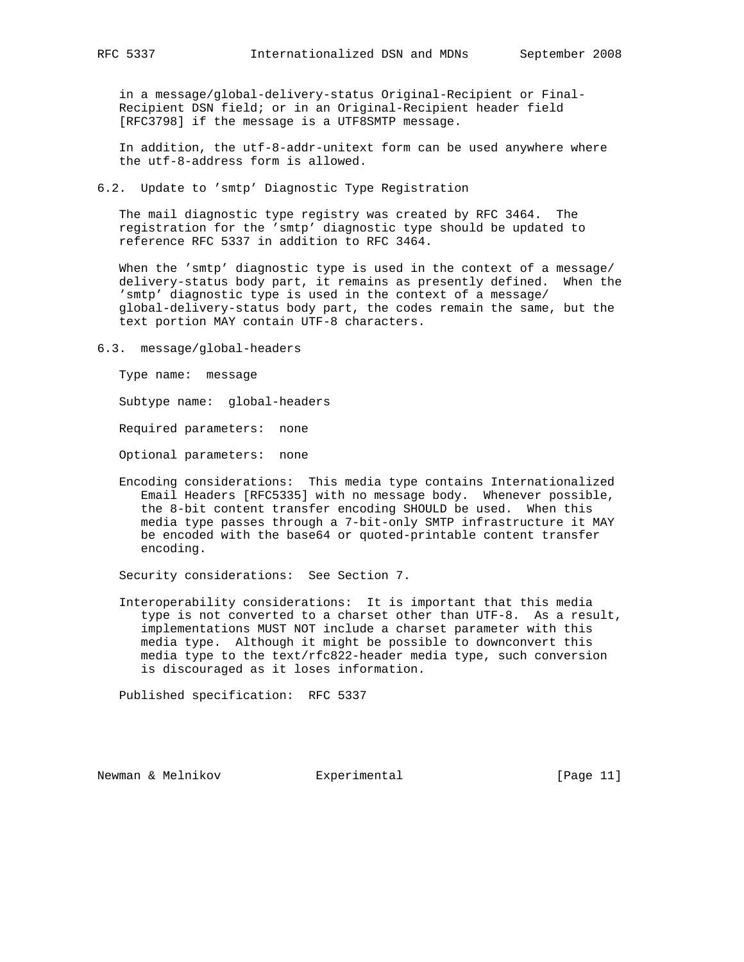in a message/global-delivery-status Original-Recipient or Final- Recipient DSN field; or in an Original-Recipient header field [RFC3798] if the message is a UTF8SMTP message.

 In addition, the utf-8-addr-unitext form can be used anywhere where the utf-8-address form is allowed.

6.2. Update to 'smtp' Diagnostic Type Registration

 The mail diagnostic type registry was created by RFC 3464. The registration for the 'smtp' diagnostic type should be updated to reference RFC 5337 in addition to RFC 3464.

 When the 'smtp' diagnostic type is used in the context of a message/ delivery-status body part, it remains as presently defined. When the 'smtp' diagnostic type is used in the context of a message/ global-delivery-status body part, the codes remain the same, but the text portion MAY contain UTF-8 characters.

6.3. message/global-headers

Type name: message

Subtype name: global-headers

Required parameters: none

Optional parameters: none

 Encoding considerations: This media type contains Internationalized Email Headers [RFC5335] with no message body. Whenever possible, the 8-bit content transfer encoding SHOULD be used. When this media type passes through a 7-bit-only SMTP infrastructure it MAY be encoded with the base64 or quoted-printable content transfer encoding.

Security considerations: See Section 7.

 Interoperability considerations: It is important that this media type is not converted to a charset other than UTF-8. As a result, implementations MUST NOT include a charset parameter with this media type. Although it might be possible to downconvert this media type to the text/rfc822-header media type, such conversion is discouraged as it loses information.

Published specification: RFC 5337

Newman & Melnikov **Experimental** [Page 11]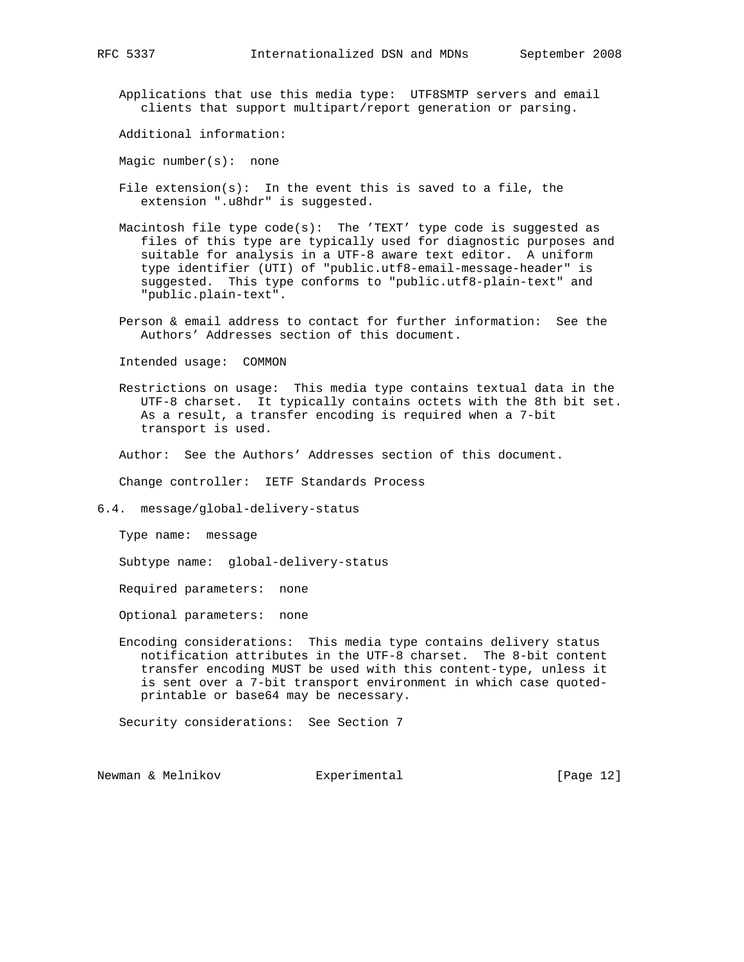Applications that use this media type: UTF8SMTP servers and email clients that support multipart/report generation or parsing.

Additional information:

Magic number(s): none

- File  $ext{extension}(s)$ : In the event this is saved to a file, the extension ".u8hdr" is suggested.
- Macintosh file type code(s): The 'TEXT' type code is suggested as files of this type are typically used for diagnostic purposes and suitable for analysis in a UTF-8 aware text editor. A uniform type identifier (UTI) of "public.utf8-email-message-header" is suggested. This type conforms to "public.utf8-plain-text" and "public.plain-text".
- Person & email address to contact for further information: See the Authors' Addresses section of this document.

Intended usage: COMMON

 Restrictions on usage: This media type contains textual data in the UTF-8 charset. It typically contains octets with the 8th bit set. As a result, a transfer encoding is required when a 7-bit transport is used.

Author: See the Authors' Addresses section of this document.

Change controller: IETF Standards Process

6.4. message/global-delivery-status

Type name: message

Subtype name: global-delivery-status

Required parameters: none

Optional parameters: none

 Encoding considerations: This media type contains delivery status notification attributes in the UTF-8 charset. The 8-bit content transfer encoding MUST be used with this content-type, unless it is sent over a 7-bit transport environment in which case quoted printable or base64 may be necessary.

Security considerations: See Section 7

Newman & Melnikov **Experimental** [Page 12]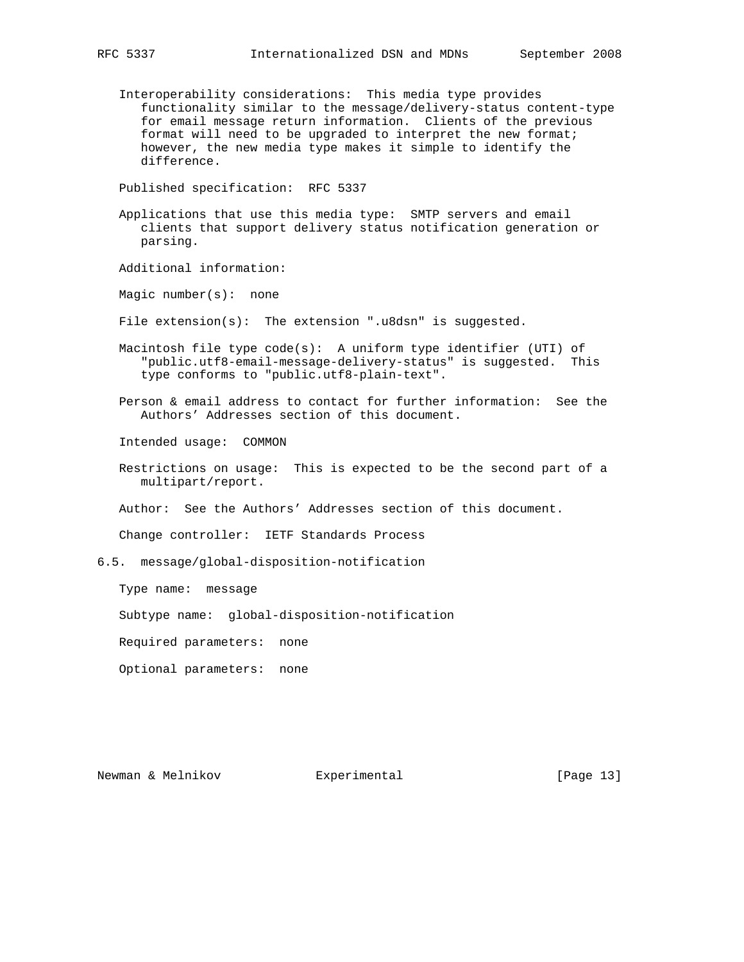- - Interoperability considerations: This media type provides functionality similar to the message/delivery-status content-type for email message return information. Clients of the previous format will need to be upgraded to interpret the new format; however, the new media type makes it simple to identify the difference.

Published specification: RFC 5337

 Applications that use this media type: SMTP servers and email clients that support delivery status notification generation or parsing.

Additional information:

Magic number(s): none

File extension(s): The extension ".u8dsn" is suggested.

Macintosh file type code(s): A uniform type identifier (UTI) of "public.utf8-email-message-delivery-status" is suggested. This type conforms to "public.utf8-plain-text".

 Person & email address to contact for further information: See the Authors' Addresses section of this document.

Intended usage: COMMON

 Restrictions on usage: This is expected to be the second part of a multipart/report.

Author: See the Authors' Addresses section of this document.

Change controller: IETF Standards Process

6.5. message/global-disposition-notification

Type name: message

Subtype name: global-disposition-notification

Required parameters: none

Optional parameters: none

Newman & Melnikov **Experimental** [Page 13]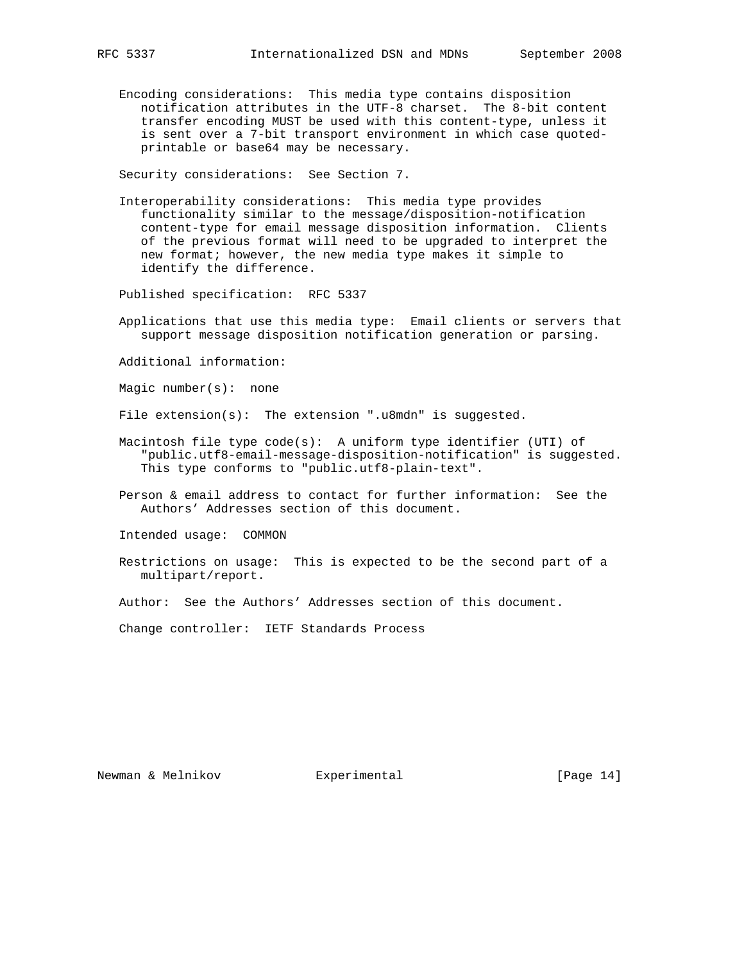Encoding considerations: This media type contains disposition notification attributes in the UTF-8 charset. The 8-bit content transfer encoding MUST be used with this content-type, unless it is sent over a 7-bit transport environment in which case quoted printable or base64 may be necessary.

Security considerations: See Section 7.

 Interoperability considerations: This media type provides functionality similar to the message/disposition-notification content-type for email message disposition information. Clients of the previous format will need to be upgraded to interpret the new format; however, the new media type makes it simple to identify the difference.

Published specification: RFC 5337

 Applications that use this media type: Email clients or servers that support message disposition notification generation or parsing.

Additional information:

Magic number(s): none

File extension(s): The extension ".u8mdn" is suggested.

- Macintosh file type code(s): A uniform type identifier (UTI) of "public.utf8-email-message-disposition-notification" is suggested. This type conforms to "public.utf8-plain-text".
- Person & email address to contact for further information: See the Authors' Addresses section of this document.

Intended usage: COMMON

 Restrictions on usage: This is expected to be the second part of a multipart/report.

Author: See the Authors' Addresses section of this document.

Change controller: IETF Standards Process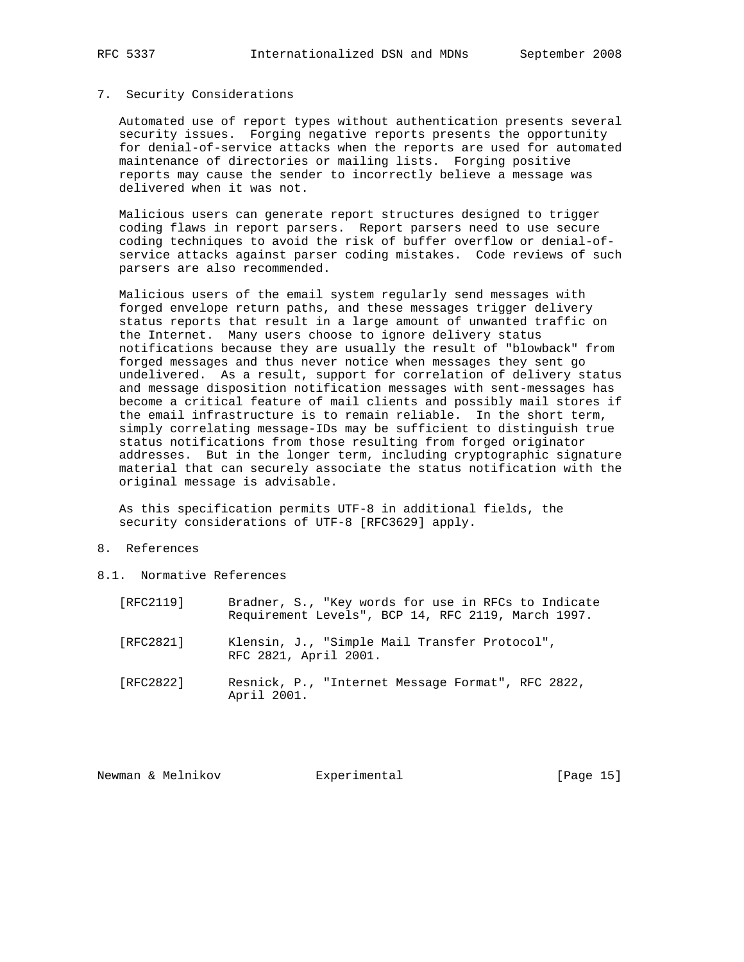### 7. Security Considerations

 Automated use of report types without authentication presents several security issues. Forging negative reports presents the opportunity for denial-of-service attacks when the reports are used for automated maintenance of directories or mailing lists. Forging positive reports may cause the sender to incorrectly believe a message was delivered when it was not.

 Malicious users can generate report structures designed to trigger coding flaws in report parsers. Report parsers need to use secure coding techniques to avoid the risk of buffer overflow or denial-of service attacks against parser coding mistakes. Code reviews of such parsers are also recommended.

 Malicious users of the email system regularly send messages with forged envelope return paths, and these messages trigger delivery status reports that result in a large amount of unwanted traffic on the Internet. Many users choose to ignore delivery status notifications because they are usually the result of "blowback" from forged messages and thus never notice when messages they sent go undelivered. As a result, support for correlation of delivery status and message disposition notification messages with sent-messages has become a critical feature of mail clients and possibly mail stores if the email infrastructure is to remain reliable. In the short term, simply correlating message-IDs may be sufficient to distinguish true status notifications from those resulting from forged originator addresses. But in the longer term, including cryptographic signature material that can securely associate the status notification with the original message is advisable.

 As this specification permits UTF-8 in additional fields, the security considerations of UTF-8 [RFC3629] apply.

### 8. References

8.1. Normative References

| [RFC2119] | Bradner, S., "Key words for use in RFCs to Indicate<br>Requirement Levels", BCP 14, RFC 2119, March 1997. |
|-----------|-----------------------------------------------------------------------------------------------------------|
| [RFC2821] | Klensin, J., "Simple Mail Transfer Protocol",<br>RFC 2821, April 2001.                                    |
| [RFC2822] | Resnick, P., "Internet Message Format", RFC 2822,<br>April 2001.                                          |

Newman & Melnikov **Experimental** [Page 15]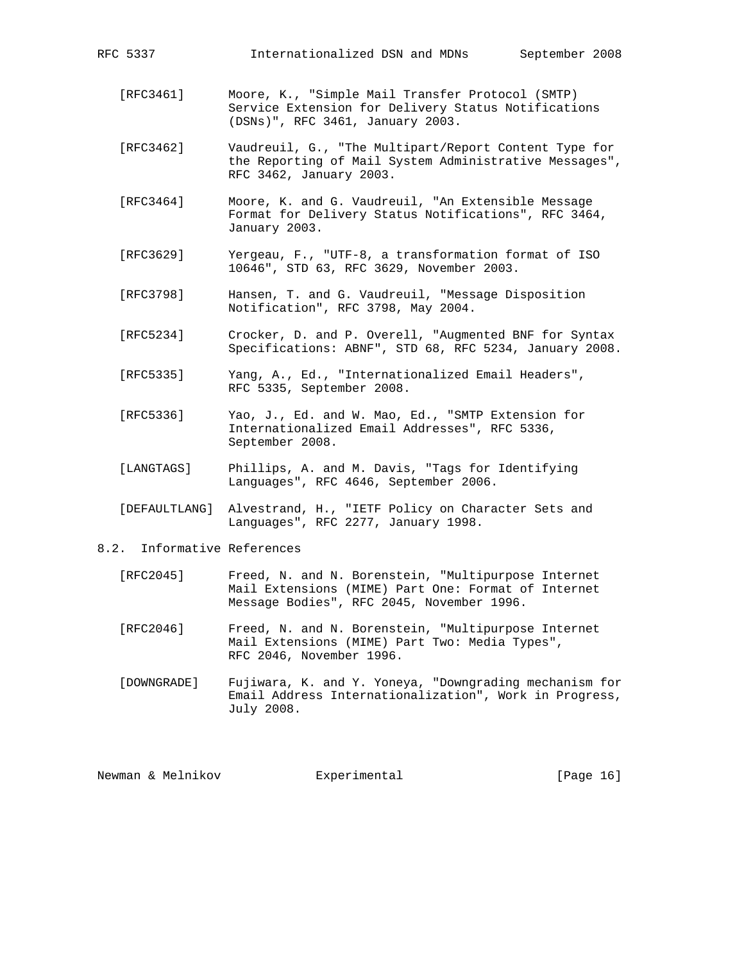| RFC 5337                       | Internationalized DSN and MDNs<br>September 2008                                                                                            |
|--------------------------------|---------------------------------------------------------------------------------------------------------------------------------------------|
| [RFC3461]                      | Moore, K., "Simple Mail Transfer Protocol (SMTP)<br>Service Extension for Delivery Status Notifications<br>(DSNs)", RFC 3461, January 2003. |
| [RFC3462]                      | Vaudreuil, G., "The Multipart/Report Content Type for<br>the Reporting of Mail System Administrative Messages",<br>RFC 3462, January 2003.  |
| [RFC3464]                      | Moore, K. and G. Vaudreuil, "An Extensible Message<br>Format for Delivery Status Notifications", RFC 3464,<br>January 2003.                 |
| [RFC3629]                      | Yergeau, F., "UTF-8, a transformation format of ISO<br>10646", STD 63, RFC 3629, November 2003.                                             |
| [RFC3798]                      | Hansen, T. and G. Vaudreuil, "Message Disposition<br>Notification", RFC 3798, May 2004.                                                     |
| [RFC5234]                      | Crocker, D. and P. Overell, "Augmented BNF for Syntax<br>Specifications: ABNF", STD 68, RFC 5234, January 2008.                             |
| [REC5335]                      | Yang, A., Ed., "Internationalized Email Headers",<br>RFC 5335, September 2008.                                                              |
| [REC5336]                      | Yao, J., Ed. and W. Mao, Ed., "SMTP Extension for<br>Internationalized Email Addresses", RFC 5336,<br>September 2008.                       |
| [LANGTAGS]                     | Phillips, A. and M. Davis, "Tags for Identifying<br>Languages", RFC 4646, September 2006.                                                   |
| [DEFAULTLANG]                  | Alvestrand, H., "IETF Policy on Character Sets and<br>Languages", RFC 2277, January 1998.                                                   |
| Informative References<br>8.2. |                                                                                                                                             |

- [RFC2045] Freed, N. and N. Borenstein, "Multipurpose Internet Mail Extensions (MIME) Part One: Format of Internet Message Bodies", RFC 2045, November 1996.
- [RFC2046] Freed, N. and N. Borenstein, "Multipurpose Internet Mail Extensions (MIME) Part Two: Media Types", RFC 2046, November 1996.
- [DOWNGRADE] Fujiwara, K. and Y. Yoneya, "Downgrading mechanism for Email Address Internationalization", Work in Progress, July 2008.

| Newman & Melnikov<br>Experimental | [Page 16] |  |  |
|-----------------------------------|-----------|--|--|
|-----------------------------------|-----------|--|--|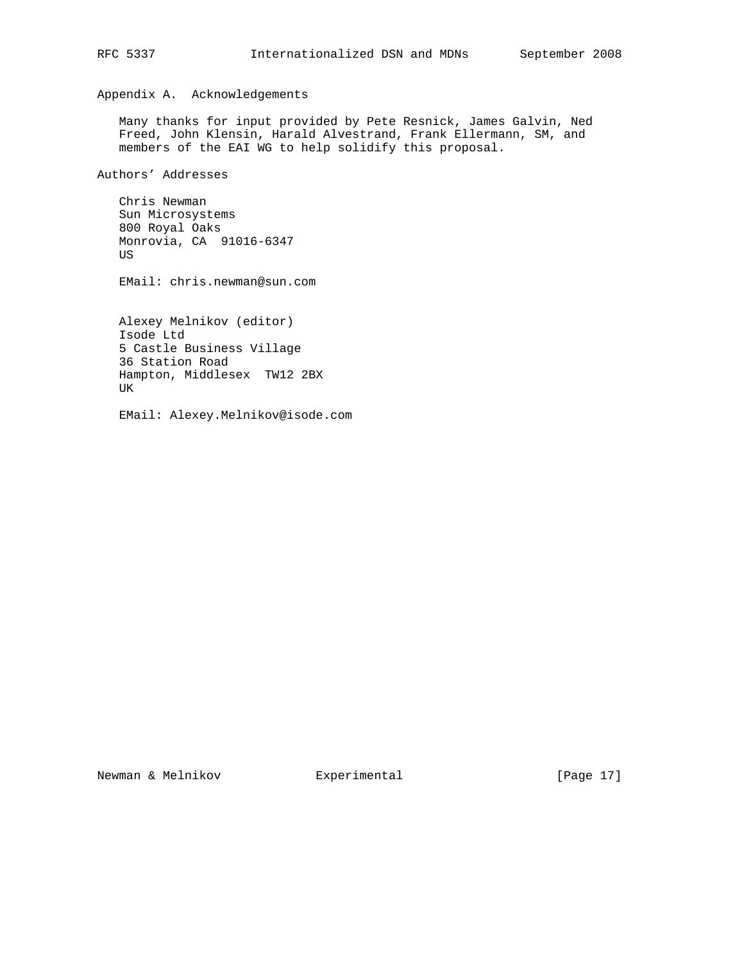Appendix A. Acknowledgements

 Many thanks for input provided by Pete Resnick, James Galvin, Ned Freed, John Klensin, Harald Alvestrand, Frank Ellermann, SM, and members of the EAI WG to help solidify this proposal.

Authors' Addresses

 Chris Newman Sun Microsystems 800 Royal Oaks Monrovia, CA 91016-6347 US

EMail: chris.newman@sun.com

 Alexey Melnikov (editor) Isode Ltd 5 Castle Business Village 36 Station Road Hampton, Middlesex TW12 2BX UK

EMail: Alexey.Melnikov@isode.com